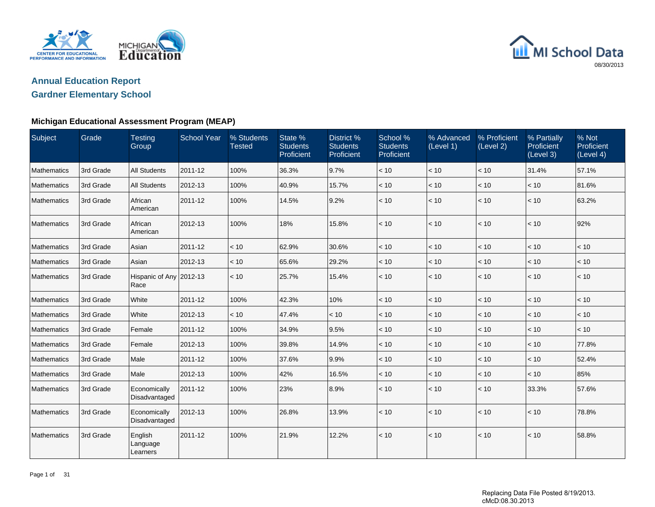

# MI School Data 08/30/2013

# **Annual Education ReportGardner Elementary School**

| Subject     | Grade     | <b>Testing</b><br>Group         | <b>School Year</b> | % Students<br><b>Tested</b> | State %<br><b>Students</b><br>Proficient | District %<br><b>Students</b><br>Proficient | School %<br><b>Students</b><br>Proficient | % Advanced<br>(Level 1) | % Proficient<br>(Level 2) | % Partially<br>Proficient<br>(Level 3) | % Not<br>Proficient<br>(Level 4) |
|-------------|-----------|---------------------------------|--------------------|-----------------------------|------------------------------------------|---------------------------------------------|-------------------------------------------|-------------------------|---------------------------|----------------------------------------|----------------------------------|
| Mathematics | 3rd Grade | <b>All Students</b>             | 2011-12            | 100%                        | 36.3%                                    | 9.7%                                        | < 10                                      | < 10                    | $<10$                     | 31.4%                                  | 57.1%                            |
| Mathematics | 3rd Grade | <b>All Students</b>             | 2012-13            | 100%                        | 40.9%                                    | 15.7%                                       | < 10                                      | < 10                    | < 10                      | < 10                                   | 81.6%                            |
| Mathematics | 3rd Grade | African<br>American             | 2011-12            | 100%                        | 14.5%                                    | 9.2%                                        | < 10                                      | < 10                    | < 10                      | < 10                                   | 63.2%                            |
| Mathematics | 3rd Grade | African<br>American             | 2012-13            | 100%                        | 18%                                      | 15.8%                                       | < 10                                      | < 10                    | < 10                      | < 10                                   | 92%                              |
| Mathematics | 3rd Grade | Asian                           | 2011-12            | < 10                        | 62.9%                                    | 30.6%                                       | < 10                                      | < 10                    | < 10                      | < 10                                   | < 10                             |
| Mathematics | 3rd Grade | Asian                           | 2012-13            | < 10                        | 65.6%                                    | 29.2%                                       | < 10                                      | < 10                    | < 10                      | < 10                                   | < 10                             |
| Mathematics | 3rd Grade | Hispanic of Any 2012-13<br>Race |                    | < 10                        | 25.7%                                    | 15.4%                                       | < 10                                      | < 10                    | < 10                      | < 10                                   | < 10                             |
| Mathematics | 3rd Grade | White                           | 2011-12            | 100%                        | 42.3%                                    | 10%                                         | < 10                                      | < 10                    | < 10                      | < 10                                   | < 10                             |
| Mathematics | 3rd Grade | White                           | 2012-13            | < 10                        | 47.4%                                    | < 10                                        | < 10                                      | < 10                    | < 10                      | < 10                                   | < 10                             |
| Mathematics | 3rd Grade | Female                          | 2011-12            | 100%                        | 34.9%                                    | 9.5%                                        | < 10                                      | < 10                    | < 10                      | < 10                                   | < 10                             |
| Mathematics | 3rd Grade | Female                          | 2012-13            | 100%                        | 39.8%                                    | 14.9%                                       | < 10                                      | < 10                    | < 10                      | < 10                                   | 77.8%                            |
| Mathematics | 3rd Grade | Male                            | 2011-12            | 100%                        | 37.6%                                    | 9.9%                                        | < 10                                      | < 10                    | < 10                      | < 10                                   | 52.4%                            |
| Mathematics | 3rd Grade | Male                            | 2012-13            | 100%                        | 42%                                      | 16.5%                                       | < 10                                      | < 10                    | < 10                      | < 10                                   | 85%                              |
| Mathematics | 3rd Grade | Economically<br>Disadvantaged   | 2011-12            | 100%                        | 23%                                      | 8.9%                                        | < 10                                      | < 10                    | $<10$                     | 33.3%                                  | 57.6%                            |
| Mathematics | 3rd Grade | Economically<br>Disadvantaged   | 2012-13            | 100%                        | 26.8%                                    | 13.9%                                       | < 10                                      | < 10                    | < 10                      | < 10                                   | 78.8%                            |
| Mathematics | 3rd Grade | English<br>Language<br>Learners | 2011-12            | 100%                        | 21.9%                                    | 12.2%                                       | < 10                                      | < 10                    | < 10                      | < 10                                   | 58.8%                            |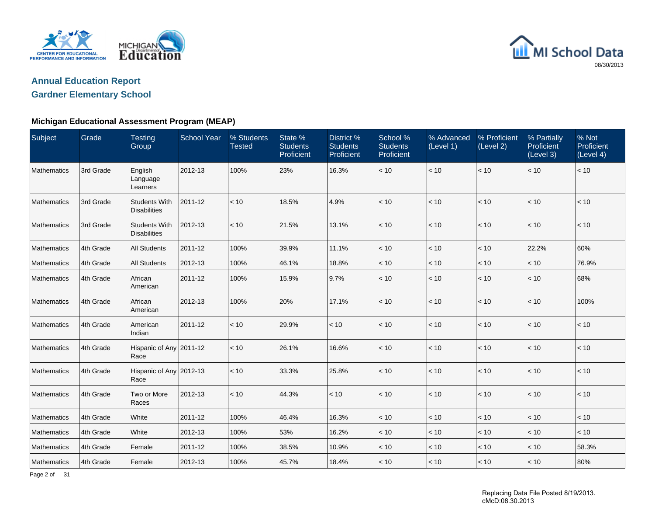



#### **Michigan Educational Assessment Program (MEAP)**

| Subject     | Grade     | <b>Testing</b><br>Group                     | <b>School Year</b> | % Students<br><b>Tested</b> | State %<br><b>Students</b><br>Proficient | District %<br><b>Students</b><br>Proficient | School %<br><b>Students</b><br>Proficient | % Advanced<br>(Level 1) | % Proficient<br>(Level 2) | % Partially<br>Proficient<br>(Level 3) | % Not<br>Proficient<br>(Level 4) |
|-------------|-----------|---------------------------------------------|--------------------|-----------------------------|------------------------------------------|---------------------------------------------|-------------------------------------------|-------------------------|---------------------------|----------------------------------------|----------------------------------|
| Mathematics | 3rd Grade | English<br>Language<br>Learners             | 2012-13            | 100%                        | 23%                                      | 16.3%                                       | $<10$                                     | < 10                    | < 10                      | < 10                                   | < 10                             |
| Mathematics | 3rd Grade | <b>Students With</b><br><b>Disabilities</b> | 2011-12            | < 10                        | 18.5%                                    | 4.9%                                        | < 10                                      | < 10                    | < 10                      | < 10                                   | < 10                             |
| Mathematics | 3rd Grade | <b>Students With</b><br><b>Disabilities</b> | 2012-13            | < 10                        | 21.5%                                    | 13.1%                                       | < 10                                      | < 10                    | < 10                      | < 10                                   | < 10                             |
| Mathematics | 4th Grade | <b>All Students</b>                         | 2011-12            | 100%                        | 39.9%                                    | 11.1%                                       | < 10                                      | < 10                    | < 10                      | 22.2%                                  | 60%                              |
| Mathematics | 4th Grade | All Students                                | 2012-13            | 100%                        | 46.1%                                    | 18.8%                                       | $<10$                                     | $<10$                   | < 10                      | < 10                                   | 76.9%                            |
| Mathematics | 4th Grade | African<br>American                         | 2011-12            | 100%                        | 15.9%                                    | 9.7%                                        | < 10                                      | < 10                    | < 10                      | < 10                                   | 68%                              |
| Mathematics | 4th Grade | African<br>American                         | 2012-13            | 100%                        | 20%                                      | 17.1%                                       | < 10                                      | < 10                    | < 10                      | < 10                                   | 100%                             |
| Mathematics | 4th Grade | American<br>Indian                          | 2011-12            | < 10                        | 29.9%                                    | < 10                                        | < 10                                      | < 10                    | < 10                      | < 10                                   | < 10                             |
| Mathematics | 4th Grade | Hispanic of Any 2011-12<br>Race             |                    | < 10                        | 26.1%                                    | 16.6%                                       | < 10                                      | < 10                    | < 10                      | < 10                                   | < 10                             |
| Mathematics | 4th Grade | Hispanic of Any 2012-13<br>Race             |                    | $<10$                       | 33.3%                                    | 25.8%                                       | < 10                                      | < 10                    | < 10                      | < 10                                   | < 10                             |
| Mathematics | 4th Grade | Two or More<br>Races                        | 2012-13            | < 10                        | 44.3%                                    | < 10                                        | < 10                                      | < 10                    | $<10$                     | < 10                                   | < 10                             |
| Mathematics | 4th Grade | White                                       | 2011-12            | 100%                        | 46.4%                                    | 16.3%                                       | < 10                                      | < 10                    | < 10                      | < 10                                   | < 10                             |
| Mathematics | 4th Grade | White                                       | 2012-13            | 100%                        | 53%                                      | 16.2%                                       | $<10$                                     | < 10                    | < 10                      | < 10                                   | < 10                             |
| Mathematics | 4th Grade | Female                                      | 2011-12            | 100%                        | 38.5%                                    | 10.9%                                       | $<10$                                     | $<10\,$                 | < 10                      | < 10                                   | 58.3%                            |
| Mathematics | 4th Grade | Female                                      | 2012-13            | 100%                        | 45.7%                                    | 18.4%                                       | < 10                                      | < 10                    | < 10                      | < 10                                   | 80%                              |

Page 2 of 31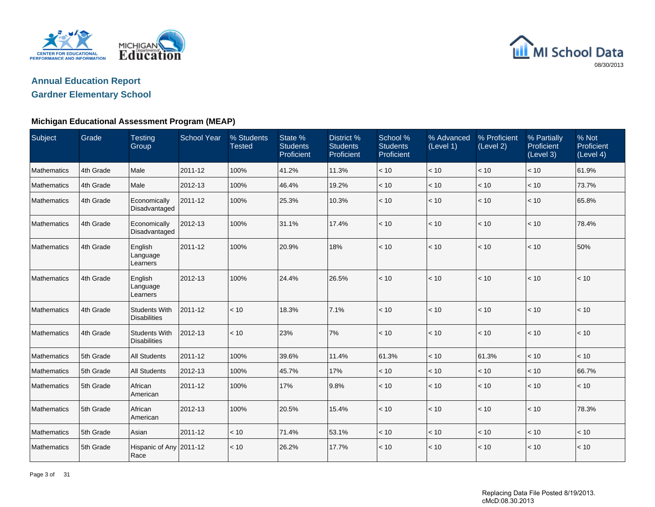



| Subject            | Grade     | <b>Testing</b><br>Group                     | <b>School Year</b> | % Students<br><b>Tested</b> | State %<br><b>Students</b><br>Proficient | District %<br><b>Students</b><br>Proficient | School %<br><b>Students</b><br>Proficient | % Advanced<br>(Level 1) | % Proficient<br>(Level 2) | % Partially<br><b>Proficient</b><br>(Level 3) | % Not<br>Proficient<br>(Level 4) |
|--------------------|-----------|---------------------------------------------|--------------------|-----------------------------|------------------------------------------|---------------------------------------------|-------------------------------------------|-------------------------|---------------------------|-----------------------------------------------|----------------------------------|
| Mathematics        | 4th Grade | Male                                        | 2011-12            | 100%                        | 41.2%                                    | 11.3%                                       | < 10                                      | < 10                    | < 10                      | < 10                                          | 61.9%                            |
| Mathematics        | 4th Grade | Male                                        | 2012-13            | 100%                        | 46.4%                                    | 19.2%                                       | < 10                                      | < 10                    | < 10                      | < 10                                          | 73.7%                            |
| Mathematics        | 4th Grade | Economically<br>Disadvantaged               | 2011-12            | 100%                        | 25.3%                                    | 10.3%                                       | $<10$                                     | $<10$                   | < 10                      | $<10$                                         | 65.8%                            |
| Mathematics        | 4th Grade | Economically<br>Disadvantaged               | 2012-13            | 100%                        | 31.1%                                    | 17.4%                                       | < 10                                      | < 10                    | < 10                      | < 10                                          | 78.4%                            |
| Mathematics        | 4th Grade | English<br>Language<br>Learners             | 2011-12            | 100%                        | 20.9%                                    | 18%                                         | < 10                                      | < 10                    | < 10                      | < 10                                          | 50%                              |
| Mathematics        | 4th Grade | English<br>Language<br>Learners             | 2012-13            | 100%                        | 24.4%                                    | 26.5%                                       | $<10$                                     | $<10$                   | < 10                      | < 10                                          | < 10                             |
| Mathematics        | 4th Grade | <b>Students With</b><br><b>Disabilities</b> | 2011-12            | < 10                        | 18.3%                                    | 7.1%                                        | < 10                                      | < 10                    | < 10                      | < 10                                          | < 10                             |
| Mathematics        | 4th Grade | <b>Students With</b><br><b>Disabilities</b> | 2012-13            | < 10                        | 23%                                      | 7%                                          | < 10                                      | < 10                    | < 10                      | < 10                                          | < 10                             |
| Mathematics        | 5th Grade | All Students                                | 2011-12            | 100%                        | 39.6%                                    | 11.4%                                       | 61.3%                                     | $<10$                   | 61.3%                     | $<10$                                         | $<10$                            |
| Mathematics        | 5th Grade | <b>All Students</b>                         | 2012-13            | 100%                        | 45.7%                                    | 17%                                         | < 10                                      | < 10                    | < 10                      | < 10                                          | 66.7%                            |
| Mathematics        | 5th Grade | African<br>American                         | 2011-12            | 100%                        | 17%                                      | 9.8%                                        | < 10                                      | < 10                    | < 10                      | < 10                                          | < 10                             |
| Mathematics        | 5th Grade | African<br>American                         | 2012-13            | 100%                        | 20.5%                                    | 15.4%                                       | < 10                                      | $<10$                   | < 10                      | < 10                                          | 78.3%                            |
| Mathematics        | 5th Grade | Asian                                       | 2011-12            | < 10                        | 71.4%                                    | 53.1%                                       | < 10                                      | < 10                    | < 10                      | < 10                                          | < 10                             |
| <b>Mathematics</b> | 5th Grade | Hispanic of Any 2011-12<br>Race             |                    | < 10                        | 26.2%                                    | 17.7%                                       | < 10                                      | < 10                    | < 10                      | < 10                                          | < 10                             |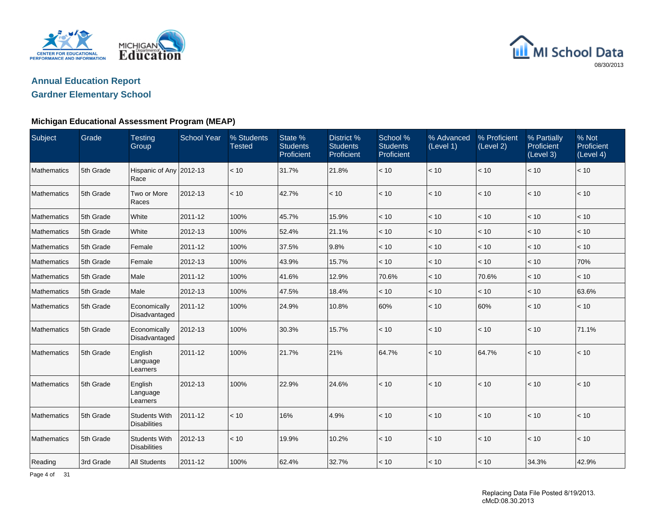



#### **Michigan Educational Assessment Program (MEAP)**

| Subject            | Grade     | <b>Testing</b><br>Group                     | <b>School Year</b> | % Students<br><b>Tested</b> | State %<br><b>Students</b><br>Proficient | District %<br><b>Students</b><br>Proficient | School %<br><b>Students</b><br>Proficient | % Advanced<br>(Level 1) | % Proficient<br>(Level 2) | % Partially<br>Proficient<br>(Level 3) | % Not<br>Proficient<br>(Level 4) |
|--------------------|-----------|---------------------------------------------|--------------------|-----------------------------|------------------------------------------|---------------------------------------------|-------------------------------------------|-------------------------|---------------------------|----------------------------------------|----------------------------------|
| Mathematics        | 5th Grade | Hispanic of Any 2012-13<br>Race             |                    | < 10                        | 31.7%                                    | 21.8%                                       | $<10$                                     | < 10                    | < 10                      | < 10                                   | < 10                             |
| Mathematics        | 5th Grade | Two or More<br>Races                        | 2012-13            | < 10                        | 42.7%                                    | < 10                                        | < 10                                      | < 10                    | < 10                      | < 10                                   | < 10                             |
| Mathematics        | 5th Grade | White                                       | 2011-12            | 100%                        | 45.7%                                    | 15.9%                                       | < 10                                      | < 10                    | < 10                      | < 10                                   | < 10                             |
| Mathematics        | 5th Grade | White                                       | 2012-13            | 100%                        | 52.4%                                    | 21.1%                                       | < 10                                      | < 10                    | $<10$                     | < 10                                   | < 10                             |
| Mathematics        | 5th Grade | Female                                      | 2011-12            | 100%                        | 37.5%                                    | 9.8%                                        | < 10                                      | < 10                    | < 10                      | < 10                                   | < 10                             |
| Mathematics        | 5th Grade | Female                                      | 2012-13            | 100%                        | 43.9%                                    | 15.7%                                       | < 10                                      | < 10                    | < 10                      | < 10                                   | 70%                              |
| Mathematics        | 5th Grade | Male                                        | 2011-12            | 100%                        | 41.6%                                    | 12.9%                                       | 70.6%                                     | < 10                    | 70.6%                     | < 10                                   | < 10                             |
| Mathematics        | 5th Grade | Male                                        | 2012-13            | 100%                        | 47.5%                                    | 18.4%                                       | < 10                                      | < 10                    | < 10                      | < 10                                   | 63.6%                            |
| <b>Mathematics</b> | 5th Grade | Economically<br>Disadvantaged               | 2011-12            | 100%                        | 24.9%                                    | 10.8%                                       | 60%                                       | < 10                    | 60%                       | < 10                                   | < 10                             |
| <b>Mathematics</b> | 5th Grade | Economically<br>Disadvantaged               | 2012-13            | 100%                        | 30.3%                                    | 15.7%                                       | < 10                                      | < 10                    | < 10                      | < 10                                   | 71.1%                            |
| Mathematics        | 5th Grade | English<br>Language<br>Learners             | 2011-12            | 100%                        | 21.7%                                    | 21%                                         | 64.7%                                     | < 10                    | 64.7%                     | < 10                                   | < 10                             |
| Mathematics        | 5th Grade | English<br>Language<br>Learners             | 2012-13            | 100%                        | 22.9%                                    | 24.6%                                       | < 10                                      | < 10                    | < 10                      | < 10                                   | < 10                             |
| Mathematics        | 5th Grade | <b>Students With</b><br><b>Disabilities</b> | 2011-12            | < 10                        | 16%                                      | 4.9%                                        | < 10                                      | < 10                    | $<10$                     | < 10                                   | < 10                             |
| Mathematics        | 5th Grade | <b>Students With</b><br><b>Disabilities</b> | 2012-13            | < 10                        | 19.9%                                    | 10.2%                                       | < 10                                      | < 10                    | < 10                      | < 10                                   | < 10                             |
| Reading            | 3rd Grade | All Students                                | 2011-12            | 100%                        | 62.4%                                    | 32.7%                                       | < 10                                      | < 10                    | < 10                      | 34.3%                                  | 42.9%                            |

#### Replacing Data File Posted 8/19/2013. cMcD:08.30.2013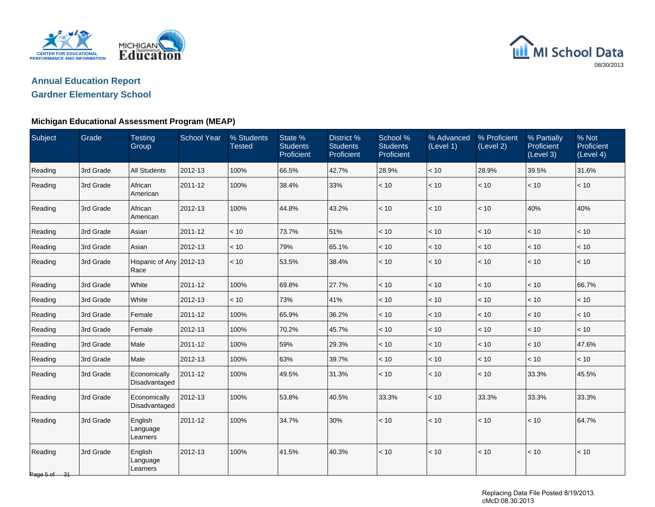



| Subject                             | Grade     | <b>Testing</b><br>Group         | <b>School Year</b> | % Students<br><b>Tested</b> | State %<br><b>Students</b><br>Proficient | District %<br><b>Students</b><br>Proficient | School %<br><b>Students</b><br>Proficient | % Advanced<br>(Level 1) | % Proficient<br>(Level 2) | % Partially<br>Proficient<br>(Level 3) | % Not<br>Proficient<br>(Level 4) |
|-------------------------------------|-----------|---------------------------------|--------------------|-----------------------------|------------------------------------------|---------------------------------------------|-------------------------------------------|-------------------------|---------------------------|----------------------------------------|----------------------------------|
| Reading                             | 3rd Grade | <b>All Students</b>             | 2012-13            | 100%                        | 66.5%                                    | 42.7%                                       | 28.9%                                     | < 10                    | 28.9%                     | 39.5%                                  | 31.6%                            |
| Reading                             | 3rd Grade | African<br>American             | 2011-12            | 100%                        | 38.4%                                    | 33%                                         | < 10                                      | < 10                    | < 10                      | < 10                                   | < 10                             |
| Reading                             | 3rd Grade | African<br>American             | 2012-13            | 100%                        | 44.8%                                    | 43.2%                                       | < 10                                      | < 10                    | $<10$                     | 40%                                    | 40%                              |
| Reading                             | 3rd Grade | Asian                           | 2011-12            | < 10                        | 73.7%                                    | 51%                                         | < 10                                      | < 10                    | $<10$                     | $<10$                                  | $<10$                            |
| Reading                             | 3rd Grade | Asian                           | 2012-13            | < 10                        | 79%                                      | 65.1%                                       | < 10                                      | < 10                    | < 10                      | < 10                                   | < 10                             |
| Reading                             | 3rd Grade | Hispanic of Any 2012-13<br>Race |                    | < 10                        | 53.5%                                    | 38.4%                                       | < 10                                      | < 10                    | $<10$                     | < 10                                   | < 10                             |
| Reading                             | 3rd Grade | White                           | 2011-12            | 100%                        | 69.8%                                    | 27.7%                                       | < 10                                      | < 10                    | < 10                      | < 10                                   | 66.7%                            |
| Reading                             | 3rd Grade | White                           | 2012-13            | < 10                        | 73%                                      | 41%                                         | < 10                                      | < 10                    | < 10                      | < 10                                   | < 10                             |
| Reading                             | 3rd Grade | Female                          | 2011-12            | 100%                        | 65.9%                                    | 36.2%                                       | < 10                                      | < 10                    | < 10                      | < 10                                   | < 10                             |
| Reading                             | 3rd Grade | Female                          | 2012-13            | 100%                        | 70.2%                                    | 45.7%                                       | < 10                                      | < 10                    | < 10                      | < 10                                   | < 10                             |
| Reading                             | 3rd Grade | Male                            | 2011-12            | 100%                        | 59%                                      | 29.3%                                       | < 10                                      | < 10                    | < 10                      | < 10                                   | 47.6%                            |
| Reading                             | 3rd Grade | Male                            | 2012-13            | 100%                        | 63%                                      | 39.7%                                       | < 10                                      | < 10                    | < 10                      | < 10                                   | < 10                             |
| Reading                             | 3rd Grade | Economically<br>Disadvantaged   | 2011-12            | 100%                        | 49.5%                                    | 31.3%                                       | < 10                                      | < 10                    | $<10$                     | 33.3%                                  | 45.5%                            |
| Reading                             | 3rd Grade | Economically<br>Disadvantaged   | 2012-13            | 100%                        | 53.8%                                    | 40.5%                                       | 33.3%                                     | < 10                    | 33.3%                     | 33.3%                                  | 33.3%                            |
| Reading                             | 3rd Grade | English<br>Language<br>Learners | 2011-12            | 100%                        | 34.7%                                    | 30%                                         | < 10                                      | < 10                    | $<10$                     | < 10                                   | 64.7%                            |
| Reading<br>Page 5 of $\frac{31}{2}$ | 3rd Grade | English<br>Language<br>Learners | 2012-13            | 100%                        | 41.5%                                    | 40.3%                                       | < 10                                      | < 10                    | < 10                      | < 10                                   | < 10                             |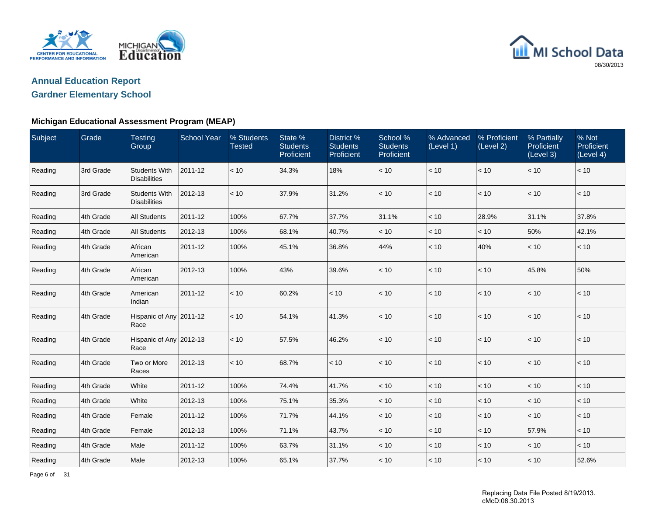



#### **Michigan Educational Assessment Program (MEAP)**

| Subject | Grade     | <b>Testing</b><br>Group                     | <b>School Year</b> | % Students<br><b>Tested</b> | State %<br><b>Students</b><br>Proficient | <b>District %</b><br><b>Students</b><br>Proficient | School %<br><b>Students</b><br>Proficient | % Advanced<br>(Level 1) | % Proficient<br>(Level 2) | % Partially<br>Proficient<br>(Level 3) | % Not<br><b>Proficient</b><br>(Level 4) |
|---------|-----------|---------------------------------------------|--------------------|-----------------------------|------------------------------------------|----------------------------------------------------|-------------------------------------------|-------------------------|---------------------------|----------------------------------------|-----------------------------------------|
| Reading | 3rd Grade | <b>Students With</b><br><b>Disabilities</b> | 2011-12            | < 10                        | 34.3%                                    | 18%                                                | < 10                                      | < 10                    | < 10                      | < 10                                   | < 10                                    |
| Reading | 3rd Grade | <b>Students With</b><br><b>Disabilities</b> | 2012-13            | < 10                        | 37.9%                                    | 31.2%                                              | < 10                                      | < 10                    | < 10                      | < 10                                   | < 10                                    |
| Reading | 4th Grade | <b>All Students</b>                         | 2011-12            | 100%                        | 67.7%                                    | 37.7%                                              | 31.1%                                     | $<10$                   | 28.9%                     | 31.1%                                  | 37.8%                                   |
| Reading | 4th Grade | <b>All Students</b>                         | 2012-13            | 100%                        | 68.1%                                    | 40.7%                                              | < 10                                      | < 10                    | < 10                      | 50%                                    | 42.1%                                   |
| Reading | 4th Grade | African<br>American                         | 2011-12            | 100%                        | 45.1%                                    | 36.8%                                              | 44%                                       | < 10                    | 40%                       | < 10                                   | < 10                                    |
| Reading | 4th Grade | African<br>American                         | 2012-13            | 100%                        | 43%                                      | 39.6%                                              | < 10                                      | < 10                    | $<10$                     | 45.8%                                  | 50%                                     |
| Reading | 4th Grade | American<br>Indian                          | 2011-12            | < 10                        | 60.2%                                    | < 10                                               | < 10                                      | < 10                    | < 10                      | < 10                                   | < 10                                    |
| Reading | 4th Grade | Hispanic of Any 2011-12<br>Race             |                    | < 10                        | 54.1%                                    | 41.3%                                              | < 10                                      | < 10                    | < 10                      | < 10                                   | < 10                                    |
| Reading | 4th Grade | Hispanic of Any 2012-13<br>Race             |                    | < 10                        | 57.5%                                    | 46.2%                                              | < 10                                      | < 10                    | $<10$                     | < 10                                   | < 10                                    |
| Reading | 4th Grade | Two or More<br>Races                        | 2012-13            | < 10                        | 68.7%                                    | < 10                                               | < 10                                      | < 10                    | < 10                      | < 10                                   | < 10                                    |
| Reading | 4th Grade | White                                       | 2011-12            | 100%                        | 74.4%                                    | 41.7%                                              | < 10                                      | < 10                    | < 10                      | < 10                                   | < 10                                    |
| Reading | 4th Grade | White                                       | 2012-13            | 100%                        | 75.1%                                    | 35.3%                                              | < 10                                      | < 10                    | < 10                      | < 10                                   | < 10                                    |
| Reading | 4th Grade | Female                                      | 2011-12            | 100%                        | 71.7%                                    | 44.1%                                              | < 10                                      | < 10                    | < 10                      | < 10                                   | < 10                                    |
| Reading | 4th Grade | Female                                      | 2012-13            | 100%                        | 71.1%                                    | 43.7%                                              | < 10                                      | < 10                    | $<10$                     | 57.9%                                  | < 10                                    |
| Reading | 4th Grade | Male                                        | 2011-12            | 100%                        | 63.7%                                    | 31.1%                                              | $<10$                                     | < 10                    | < 10                      | < 10                                   | $<10$                                   |
| Reading | 4th Grade | Male                                        | 2012-13            | 100%                        | 65.1%                                    | 37.7%                                              | < 10                                      | < 10                    | < 10                      | < 10                                   | 52.6%                                   |

Page 6 of 31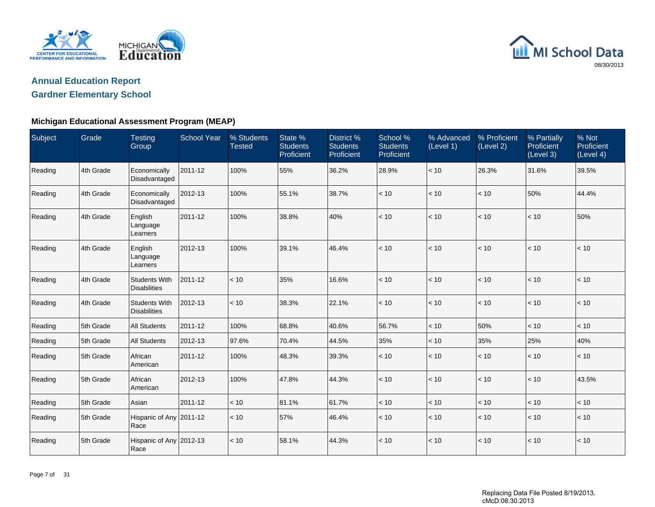



| <b>Subject</b> | Grade     | <b>Testing</b><br>Group                     | <b>School Year</b> | % Students<br><b>Tested</b> | State %<br><b>Students</b><br>Proficient | District %<br><b>Students</b><br>Proficient | School %<br><b>Students</b><br>Proficient | % Advanced<br>(Level 1) | % Proficient<br>(Level 2) | % Partially<br>Proficient<br>(Level 3) | % Not<br>Proficient<br>(Level 4) |
|----------------|-----------|---------------------------------------------|--------------------|-----------------------------|------------------------------------------|---------------------------------------------|-------------------------------------------|-------------------------|---------------------------|----------------------------------------|----------------------------------|
| Reading        | 4th Grade | Economically<br>Disadvantaged               | 2011-12            | 100%                        | 55%                                      | 36.2%                                       | 28.9%                                     | < 10                    | 26.3%                     | 31.6%                                  | 39.5%                            |
| Reading        | 4th Grade | Economically<br>Disadvantaged               | 2012-13            | 100%                        | 55.1%                                    | 38.7%                                       | < 10                                      | < 10                    | < 10                      | 50%                                    | 44.4%                            |
| Reading        | 4th Grade | English<br>Language<br>Learners             | 2011-12            | 100%                        | 38.8%                                    | 40%                                         | < 10                                      | < 10                    | < 10                      | < 10                                   | 50%                              |
| Reading        | 4th Grade | English<br>Language<br>Learners             | 2012-13            | 100%                        | 39.1%                                    | 46.4%                                       | < 10                                      | < 10                    | < 10                      | < 10                                   | < 10                             |
| Reading        | 4th Grade | <b>Students With</b><br><b>Disabilities</b> | 2011-12            | < 10                        | 35%                                      | 16.6%                                       | < 10                                      | < 10                    | $<10$                     | < 10                                   | < 10                             |
| Reading        | 4th Grade | <b>Students With</b><br><b>Disabilities</b> | 2012-13            | < 10                        | 38.3%                                    | 22.1%                                       | < 10                                      | < 10                    | < 10                      | < 10                                   | < 10                             |
| Reading        | 5th Grade | <b>All Students</b>                         | 2011-12            | 100%                        | 68.8%                                    | 40.6%                                       | 56.7%                                     | < 10                    | 50%                       | < 10                                   | < 10                             |
| Reading        | 5th Grade | <b>All Students</b>                         | 2012-13            | 97.6%                       | 70.4%                                    | 44.5%                                       | 35%                                       | < 10                    | 35%                       | 25%                                    | 40%                              |
| Reading        | 5th Grade | African<br>American                         | 2011-12            | 100%                        | 48.3%                                    | 39.3%                                       | < 10                                      | < 10                    | < 10                      | < 10                                   | < 10                             |
| Reading        | 5th Grade | African<br>American                         | 2012-13            | 100%                        | 47.8%                                    | 44.3%                                       | < 10                                      | < 10                    | < 10                      | < 10                                   | 43.5%                            |
| Reading        | 5th Grade | Asian                                       | 2011-12            | < 10                        | 81.1%                                    | 61.7%                                       | < 10                                      | < 10                    | < 10                      | < 10                                   | < 10                             |
| Reading        | 5th Grade | Hispanic of Any 2011-12<br>Race             |                    | < 10                        | 57%                                      | 46.4%                                       | < 10                                      | < 10                    | < 10                      | < 10                                   | $<10$                            |
| Reading        | 5th Grade | Hispanic of Any 2012-13<br>Race             |                    | < 10                        | 58.1%                                    | 44.3%                                       | < 10                                      | < 10                    | < 10                      | < 10                                   | < 10                             |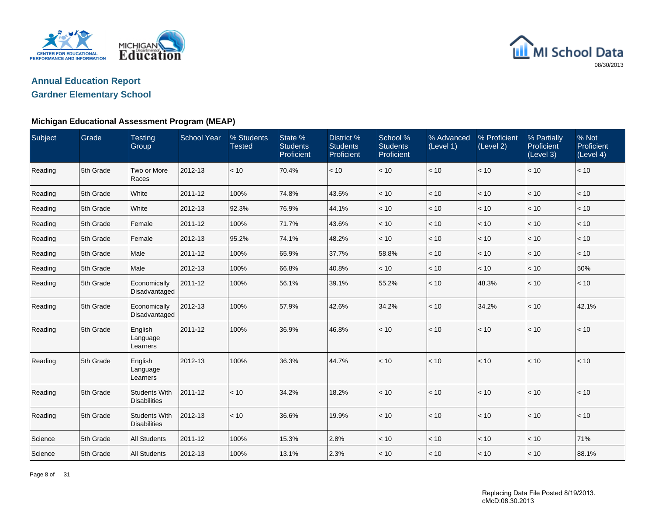



| Subject | Grade     | <b>Testing</b><br>Group                     | <b>School Year</b> | % Students<br><b>Tested</b> | State %<br><b>Students</b><br>Proficient | District %<br><b>Students</b><br>Proficient | School %<br><b>Students</b><br>Proficient | % Advanced<br>(Level 1) | % Proficient<br>(Level 2) | % Partially<br>Proficient<br>(Level 3) | % Not<br>Proficient<br>(Level 4) |
|---------|-----------|---------------------------------------------|--------------------|-----------------------------|------------------------------------------|---------------------------------------------|-------------------------------------------|-------------------------|---------------------------|----------------------------------------|----------------------------------|
| Reading | 5th Grade | Two or More<br>Races                        | 2012-13            | < 10                        | 70.4%                                    | < 10                                        | < 10                                      | < 10                    | < 10                      | < 10                                   | < 10                             |
| Reading | 5th Grade | White                                       | 2011-12            | 100%                        | 74.8%                                    | 43.5%                                       | < 10                                      | < 10                    | < 10                      | < 10                                   | < 10                             |
| Reading | 5th Grade | White                                       | 2012-13            | 92.3%                       | 76.9%                                    | 44.1%                                       | < 10                                      | < 10                    | < 10                      | < 10                                   | < 10                             |
| Reading | 5th Grade | Female                                      | 2011-12            | 100%                        | 71.7%                                    | 43.6%                                       | < 10                                      | < 10                    | < 10                      | < 10                                   | < 10                             |
| Reading | 5th Grade | Female                                      | 2012-13            | 95.2%                       | 74.1%                                    | 48.2%                                       | < 10                                      | < 10                    | < 10                      | < 10                                   | < 10                             |
| Reading | 5th Grade | Male                                        | 2011-12            | 100%                        | 65.9%                                    | 37.7%                                       | 58.8%                                     | < 10                    | $<10$                     | < 10                                   | < 10                             |
| Reading | 5th Grade | Male                                        | 2012-13            | 100%                        | 66.8%                                    | 40.8%                                       | < 10                                      | < 10                    | < 10                      | < 10                                   | 50%                              |
| Reading | 5th Grade | Economically<br>Disadvantaged               | 2011-12            | 100%                        | 56.1%                                    | 39.1%                                       | 55.2%                                     | < 10                    | 48.3%                     | < 10                                   | < 10                             |
| Reading | 5th Grade | Economically<br>Disadvantaged               | 2012-13            | 100%                        | 57.9%                                    | 42.6%                                       | 34.2%                                     | < 10                    | 34.2%                     | < 10                                   | 42.1%                            |
| Reading | 5th Grade | English<br>Language<br>Learners             | 2011-12            | 100%                        | 36.9%                                    | 46.8%                                       | < 10                                      | < 10                    | < 10                      | < 10                                   | < 10                             |
| Reading | 5th Grade | English<br>Language<br>Learners             | 2012-13            | 100%                        | 36.3%                                    | 44.7%                                       | < 10                                      | < 10                    | < 10                      | < 10                                   | < 10                             |
| Reading | 5th Grade | <b>Students With</b><br><b>Disabilities</b> | 2011-12            | < 10                        | 34.2%                                    | 18.2%                                       | < 10                                      | < 10                    | < 10                      | < 10                                   | < 10                             |
| Reading | 5th Grade | <b>Students With</b><br><b>Disabilities</b> | 2012-13            | < 10                        | 36.6%                                    | 19.9%                                       | $<10$                                     | < 10                    | < 10                      | < 10                                   | < 10                             |
| Science | 5th Grade | <b>All Students</b>                         | 2011-12            | 100%                        | 15.3%                                    | 2.8%                                        | < 10                                      | < 10                    | < 10                      | < 10                                   | 71%                              |
| Science | 5th Grade | <b>All Students</b>                         | 2012-13            | 100%                        | 13.1%                                    | 2.3%                                        | < 10                                      | < 10                    | < 10                      | < 10                                   | 88.1%                            |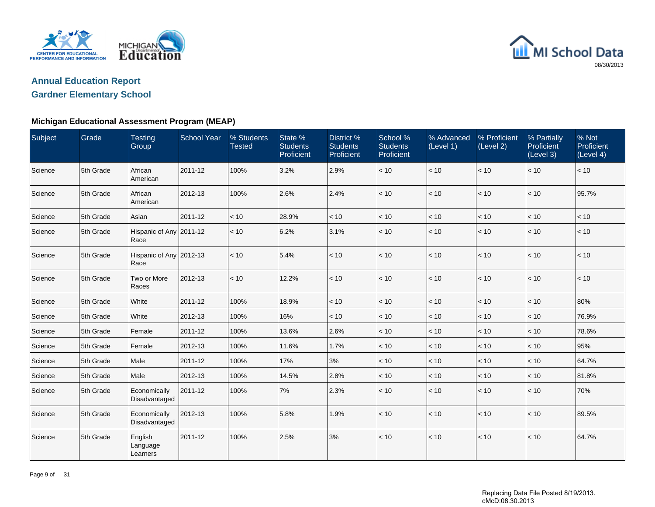



| Subject | Grade     | <b>Testing</b><br>Group         | <b>School Year</b> | % Students<br><b>Tested</b> | State %<br><b>Students</b><br>Proficient | <b>District %</b><br><b>Students</b><br>Proficient | School %<br><b>Students</b><br>Proficient | % Advanced<br>(Level 1) | % Proficient<br>(Level 2) | % Partially<br>Proficient<br>(Level 3) | % Not<br>Proficient<br>(Level 4) |
|---------|-----------|---------------------------------|--------------------|-----------------------------|------------------------------------------|----------------------------------------------------|-------------------------------------------|-------------------------|---------------------------|----------------------------------------|----------------------------------|
| Science | 5th Grade | African<br>American             | 2011-12            | 100%                        | 3.2%                                     | 2.9%                                               | < 10                                      | < 10                    | < 10                      | < 10                                   | < 10                             |
| Science | 5th Grade | African<br>American             | 2012-13            | 100%                        | 2.6%                                     | 2.4%                                               | < 10                                      | < 10                    | < 10                      | < 10                                   | 95.7%                            |
| Science | 5th Grade | Asian                           | 2011-12            | < 10                        | 28.9%                                    | < 10                                               | < 10                                      | < 10                    | < 10                      | < 10                                   | < 10                             |
| Science | 5th Grade | Hispanic of Any 2011-12<br>Race |                    | < 10                        | 6.2%                                     | 3.1%                                               | < 10                                      | < 10                    | < 10                      | < 10                                   | < 10                             |
| Science | 5th Grade | Hispanic of Any 2012-13<br>Race |                    | < 10                        | 5.4%                                     | < 10                                               | < 10                                      | < 10                    | $<10$                     | < 10                                   | < 10                             |
| Science | 5th Grade | Two or More<br>Races            | 2012-13            | < 10                        | 12.2%                                    | < 10                                               | < 10                                      | < 10                    | < 10                      | < 10                                   | < 10                             |
| Science | 5th Grade | White                           | 2011-12            | 100%                        | 18.9%                                    | < 10                                               | < 10                                      | < 10                    | < 10                      | < 10                                   | 80%                              |
| Science | 5th Grade | White                           | 2012-13            | 100%                        | 16%                                      | < 10                                               | < 10                                      | < 10                    | < 10                      | < 10                                   | 76.9%                            |
| Science | 5th Grade | Female                          | 2011-12            | 100%                        | 13.6%                                    | 2.6%                                               | < 10                                      | < 10                    | < 10                      | < 10                                   | 78.6%                            |
| Science | 5th Grade | Female                          | 2012-13            | 100%                        | 11.6%                                    | 1.7%                                               | $<10$                                     | < 10                    | $<10$                     | < 10                                   | 95%                              |
| Science | 5th Grade | Male                            | 2011-12            | 100%                        | 17%                                      | 3%                                                 | < 10                                      | < 10                    | < 10                      | < 10                                   | 64.7%                            |
| Science | 5th Grade | Male                            | 2012-13            | 100%                        | 14.5%                                    | 2.8%                                               | < 10                                      | < 10                    | $<10$                     | < 10                                   | 81.8%                            |
| Science | 5th Grade | Economically<br>Disadvantaged   | 2011-12            | 100%                        | 7%                                       | 2.3%                                               | < 10                                      | < 10                    | < 10                      | < 10                                   | 70%                              |
| Science | 5th Grade | Economically<br>Disadvantaged   | 2012-13            | 100%                        | 5.8%                                     | 1.9%                                               | < 10                                      | < 10                    | < 10                      | < 10                                   | 89.5%                            |
| Science | 5th Grade | English<br>Language<br>Learners | 2011-12            | 100%                        | 2.5%                                     | 3%                                                 | < 10                                      | < 10                    | < 10                      | < 10                                   | 64.7%                            |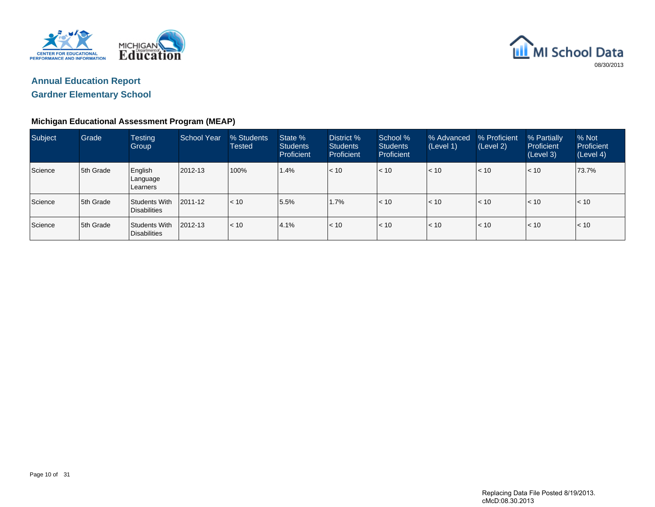



| Subject | Grade     | <b>Testing</b><br><b>Group</b>       | School Year | % Students<br>Tested | State %<br><b>Students</b><br>Proficient | District %<br><b>Students</b><br>Proficient | School %<br><b>Students</b><br>Proficient | % Advanced<br>(Level 1) | % Proficient<br>(Level 2) | % Partially<br>Proficient<br>(Level 3) | % Not<br>Proficient<br>(Level 4) |
|---------|-----------|--------------------------------------|-------------|----------------------|------------------------------------------|---------------------------------------------|-------------------------------------------|-------------------------|---------------------------|----------------------------------------|----------------------------------|
| Science | 5th Grade | English<br>Language<br>Learners      | 2012-13     | 100%                 | 1.4%                                     | < 10                                        | < 10                                      | < 10                    | < 10                      | < 10                                   | 73.7%                            |
| Science | 5th Grade | Students With<br><b>Disabilities</b> | 2011-12     | $\vert$ < 10         | 5.5%                                     | 1.7%                                        | < 10                                      | < 10                    | < 10                      | < 10                                   | $\leq 10$                        |
| Science | 5th Grade | Students With<br><b>Disabilities</b> | 2012-13     | l< 10                | 4.1%                                     | < 10                                        | < 10                                      | < 10                    | < 10                      | < 10                                   | $\leq 10$                        |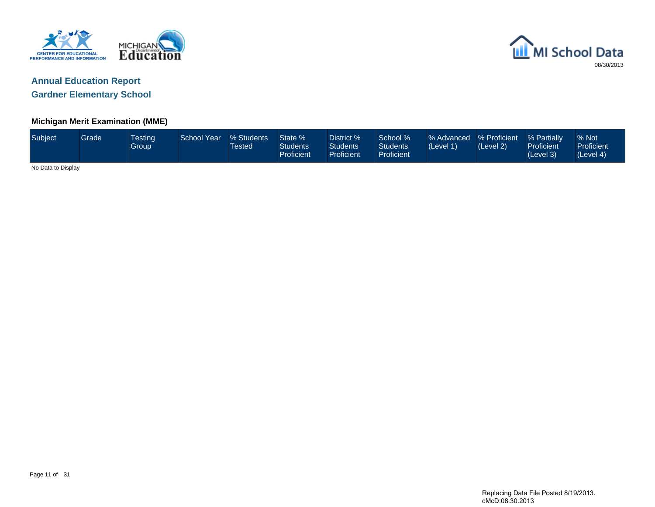



#### **Michigan Merit Examination (MME)**

| Subject            | Grade | <b>Testing</b><br><b>Group</b> | <b>School Year</b> | % Students<br><b>Tested</b> | State %<br><b>Students</b><br>Proficient | District %<br><b>Students</b><br>Proficient | School %<br><b>Students</b><br>Proficient | % Advanced   % Proficient<br>(Level 1) | (Level 2) | % Partially<br>Proficient<br>(Level 3) | % Not<br>Proficient<br>(Level 4) |
|--------------------|-------|--------------------------------|--------------------|-----------------------------|------------------------------------------|---------------------------------------------|-------------------------------------------|----------------------------------------|-----------|----------------------------------------|----------------------------------|
| No Data to Display |       |                                |                    |                             |                                          |                                             |                                           |                                        |           |                                        |                                  |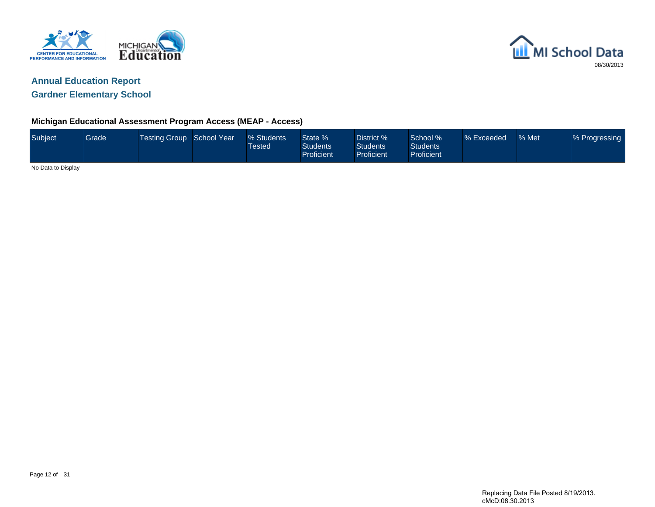



#### **Michigan Educational Assessment Program Access (MEAP - Access)**

| Subject            | Grade | Testing Group School Year | % Students<br>Tested <sup>1</sup> | State %<br><b>Students</b><br><b>Proficient</b> | District %<br><b>Students</b><br>Proficient | School %<br><b>Students</b><br><b>Proficient</b> | % Exceeded | % Met | % Progressing |
|--------------------|-------|---------------------------|-----------------------------------|-------------------------------------------------|---------------------------------------------|--------------------------------------------------|------------|-------|---------------|
| No Data to Display |       |                           |                                   |                                                 |                                             |                                                  |            |       |               |

Page 12 of 31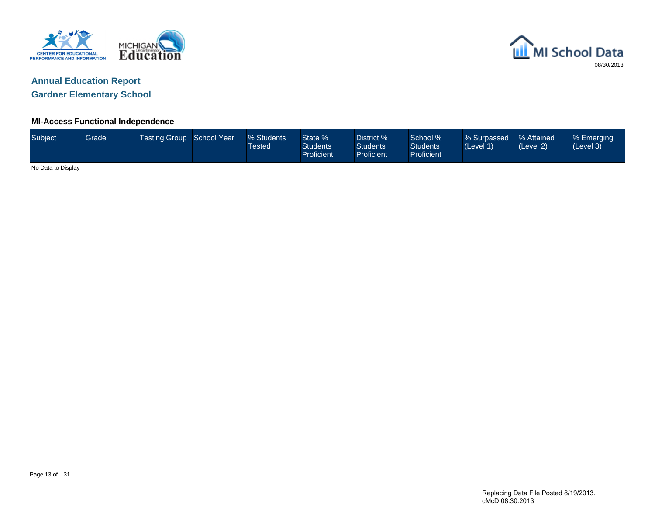



### **MI-Access Functional Independence**

| Subject            | Grade | Testing Group School Year | % Students<br>Tested | State %<br><b>Students</b><br><b>Proficient</b> | District %<br><b>Students</b><br><b>Proficient</b> | School %<br><b>Students</b><br>Proficient | % Surpassed<br>(Level 1) | % Attained<br>(Level 2) | % Emerging<br>(Level 3) |
|--------------------|-------|---------------------------|----------------------|-------------------------------------------------|----------------------------------------------------|-------------------------------------------|--------------------------|-------------------------|-------------------------|
| No Data to Display |       |                           |                      |                                                 |                                                    |                                           |                          |                         |                         |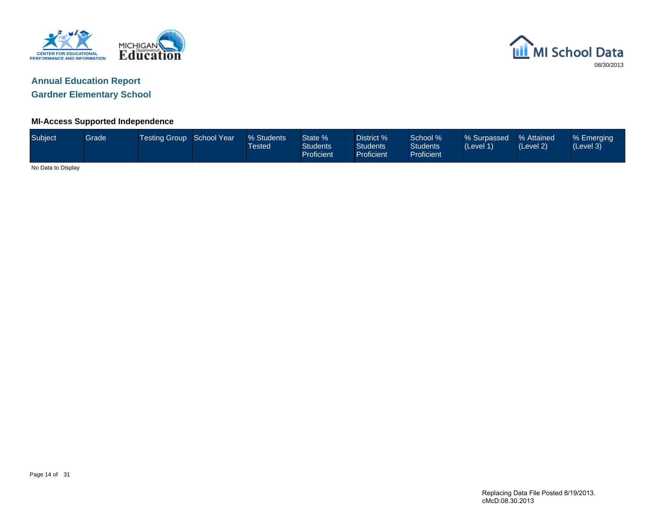



# **Annual Education Report**

**Gardner Elementary School**

### **MI-Access Supported Independence**

| Subject            | Grade | Testing Group School Year | % Students<br><b>Tested</b> | State %<br><b>Students</b><br>Proficient | District %<br><b>Students</b><br><b>Proficient</b> | School %<br><b>Students</b><br>Proficient | % Surpassed<br>(Level 1) | % Attained<br>(Level 2) | % Emerging<br>(Level 3) |
|--------------------|-------|---------------------------|-----------------------------|------------------------------------------|----------------------------------------------------|-------------------------------------------|--------------------------|-------------------------|-------------------------|
| No Data to Display |       |                           |                             |                                          |                                                    |                                           |                          |                         |                         |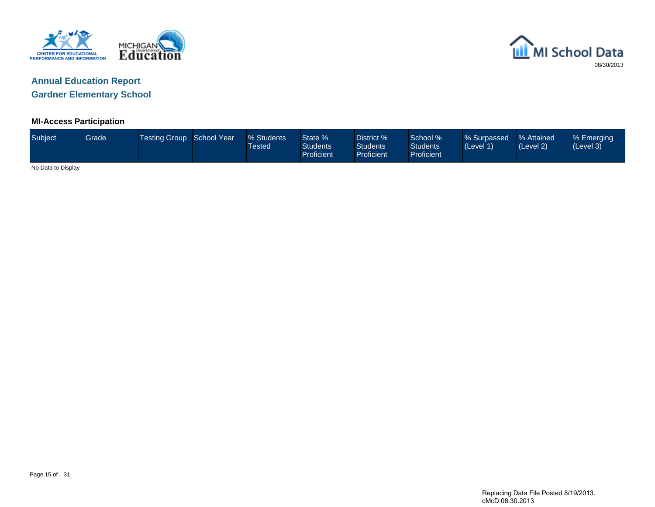



#### **MI-Access Participation**

| Subject <sup>1</sup> | Grade | Testing Group School Year \ | % Students<br>Tested <sup>1</sup> | State %<br><b>Students</b><br>Proficient | District %<br><b>Students</b><br>Proficient | School %<br>Students<br><b>Proficient</b> | % Surpassed<br>(Level 1) | % Attained<br>(Level 2) | % Emerging<br>(Level 3) |
|----------------------|-------|-----------------------------|-----------------------------------|------------------------------------------|---------------------------------------------|-------------------------------------------|--------------------------|-------------------------|-------------------------|
| No Data to Display   |       |                             |                                   |                                          |                                             |                                           |                          |                         |                         |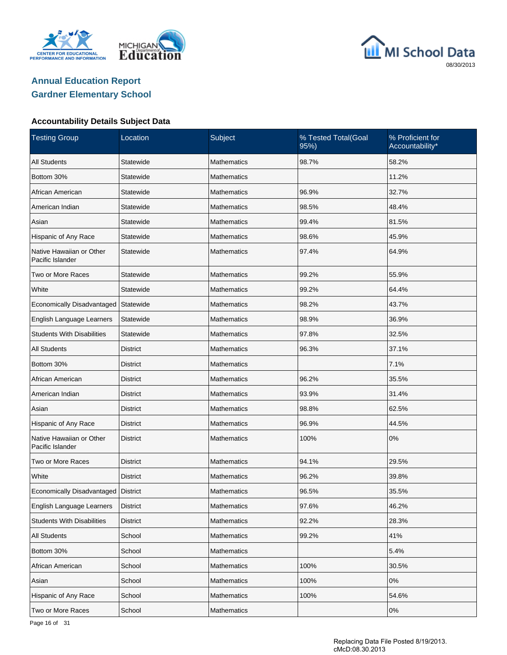





| <b>Testing Group</b>                         | Location        | Subject            | % Tested Total(Goal<br>95%) | % Proficient for<br>Accountability* |
|----------------------------------------------|-----------------|--------------------|-----------------------------|-------------------------------------|
| <b>All Students</b>                          | Statewide       | <b>Mathematics</b> | 98.7%                       | 58.2%                               |
| Bottom 30%                                   | Statewide       | <b>Mathematics</b> |                             | 11.2%                               |
| African American                             | Statewide       | Mathematics        | 96.9%                       | 32.7%                               |
| American Indian                              | Statewide       | <b>Mathematics</b> | 98.5%                       | 48.4%                               |
| Asian                                        | Statewide       | Mathematics        | 99.4%                       | 81.5%                               |
| Hispanic of Any Race                         | Statewide       | <b>Mathematics</b> | 98.6%                       | 45.9%                               |
| Native Hawaiian or Other<br>Pacific Islander | Statewide       | <b>Mathematics</b> | 97.4%                       | 64.9%                               |
| Two or More Races                            | Statewide       | <b>Mathematics</b> | 99.2%                       | 55.9%                               |
| White                                        | Statewide       | <b>Mathematics</b> | 99.2%                       | 64.4%                               |
| Economically Disadvantaged                   | Statewide       | <b>Mathematics</b> | 98.2%                       | 43.7%                               |
| English Language Learners                    | Statewide       | <b>Mathematics</b> | 98.9%                       | 36.9%                               |
| <b>Students With Disabilities</b>            | Statewide       | <b>Mathematics</b> | 97.8%                       | 32.5%                               |
| <b>All Students</b>                          | <b>District</b> | <b>Mathematics</b> | 96.3%                       | 37.1%                               |
| Bottom 30%                                   | <b>District</b> | <b>Mathematics</b> |                             | 7.1%                                |
| African American                             | <b>District</b> | <b>Mathematics</b> | 96.2%                       | 35.5%                               |
| American Indian                              | <b>District</b> | <b>Mathematics</b> | 93.9%                       | 31.4%                               |
| Asian                                        | District        | <b>Mathematics</b> | 98.8%                       | 62.5%                               |
| Hispanic of Any Race                         | <b>District</b> | <b>Mathematics</b> | 96.9%                       | 44.5%                               |
| Native Hawaiian or Other<br>Pacific Islander | <b>District</b> | <b>Mathematics</b> | 100%                        | 0%                                  |
| Two or More Races                            | District        | <b>Mathematics</b> | 94.1%                       | 29.5%                               |
| White                                        | <b>District</b> | <b>Mathematics</b> | 96.2%                       | 39.8%                               |
| Economically Disadvantaged   District        |                 | <b>Mathematics</b> | 96.5%                       | 35.5%                               |
| English Language Learners                    | <b>District</b> | Mathematics        | 97.6%                       | 46.2%                               |
| <b>Students With Disabilities</b>            | <b>District</b> | Mathematics        | 92.2%                       | 28.3%                               |
| <b>All Students</b>                          | School          | <b>Mathematics</b> | 99.2%                       | 41%                                 |
| Bottom 30%                                   | School          | Mathematics        |                             | 5.4%                                |
| African American                             | School          | Mathematics        | 100%                        | 30.5%                               |
| Asian                                        | School          | <b>Mathematics</b> | 100%                        | 0%                                  |
| Hispanic of Any Race                         | School          | Mathematics        | 100%                        | 54.6%                               |
| Two or More Races                            | School          | Mathematics        |                             | $0\%$                               |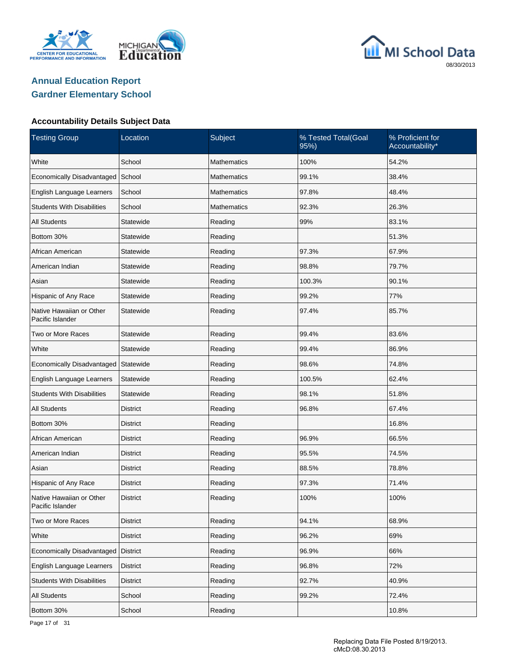





| <b>Testing Group</b>                         | Location        | Subject            | % Tested Total(Goal<br>95%) | % Proficient for<br>Accountability* |
|----------------------------------------------|-----------------|--------------------|-----------------------------|-------------------------------------|
| White                                        | School          | <b>Mathematics</b> | 100%                        | 54.2%                               |
| Economically Disadvantaged                   | School          | <b>Mathematics</b> | 99.1%                       | 38.4%                               |
| English Language Learners                    | School          | <b>Mathematics</b> | 97.8%                       | 48.4%                               |
| <b>Students With Disabilities</b>            | School          | <b>Mathematics</b> | 92.3%                       | 26.3%                               |
| <b>All Students</b>                          | Statewide       | Reading            | 99%                         | 83.1%                               |
| Bottom 30%                                   | Statewide       | Reading            |                             | 51.3%                               |
| African American                             | Statewide       | Reading            | 97.3%                       | 67.9%                               |
| American Indian                              | Statewide       | Reading            | 98.8%                       | 79.7%                               |
| Asian                                        | Statewide       | Reading            | 100.3%                      | 90.1%                               |
| Hispanic of Any Race                         | Statewide       | Reading            | 99.2%                       | 77%                                 |
| Native Hawaiian or Other<br>Pacific Islander | Statewide       | Reading            | 97.4%                       | 85.7%                               |
| Two or More Races                            | Statewide       | Reading            | 99.4%                       | 83.6%                               |
| White                                        | Statewide       | Reading            | 99.4%                       | 86.9%                               |
| Economically Disadvantaged                   | Statewide       | Reading            | 98.6%                       | 74.8%                               |
| English Language Learners                    | Statewide       | Reading            | 100.5%                      | 62.4%                               |
| <b>Students With Disabilities</b>            | Statewide       | Reading            | 98.1%                       | 51.8%                               |
| <b>All Students</b>                          | <b>District</b> | Reading            | 96.8%                       | 67.4%                               |
| Bottom 30%                                   | District        | Reading            |                             | 16.8%                               |
| African American                             | <b>District</b> | Reading            | 96.9%                       | 66.5%                               |
| American Indian                              | District        | Reading            | 95.5%                       | 74.5%                               |
| Asian                                        | <b>District</b> | Reading            | 88.5%                       | 78.8%                               |
| Hispanic of Any Race                         | District        | Reading            | 97.3%                       | 71.4%                               |
| Native Hawaiian or Other<br>Pacific Islander | District        | Reading            | 100%                        | 100%                                |
| Two or More Races                            | <b>District</b> | Reading            | 94.1%                       | 68.9%                               |
| White                                        | <b>District</b> | Reading            | 96.2%                       | 69%                                 |
| Economically Disadvantaged                   | <b>District</b> | Reading            | 96.9%                       | 66%                                 |
| English Language Learners                    | <b>District</b> | Reading            | 96.8%                       | 72%                                 |
| <b>Students With Disabilities</b>            | <b>District</b> | Reading            | 92.7%                       | 40.9%                               |
| All Students                                 | School          | Reading            | 99.2%                       | 72.4%                               |
| Bottom 30%                                   | School          | Reading            |                             | 10.8%                               |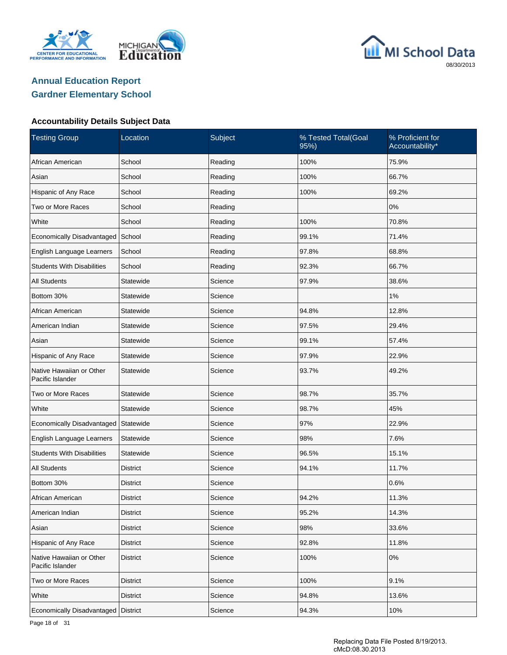





#### **Accountability Details Subject Data**

| <b>Testing Group</b>                         | Location        | Subject | % Tested Total(Goal<br>95%) | % Proficient for<br>Accountability* |
|----------------------------------------------|-----------------|---------|-----------------------------|-------------------------------------|
| African American                             | School          | Reading | 100%                        | 75.9%                               |
| Asian                                        | School          | Reading | 100%                        | 66.7%                               |
| Hispanic of Any Race                         | School          | Reading | 100%                        | 69.2%                               |
| Two or More Races                            | School          | Reading |                             | 0%                                  |
| White                                        | School          | Reading | 100%                        | 70.8%                               |
| Economically Disadvantaged                   | School          | Reading | 99.1%                       | 71.4%                               |
| English Language Learners                    | School          | Reading | 97.8%                       | 68.8%                               |
| <b>Students With Disabilities</b>            | School          | Reading | 92.3%                       | 66.7%                               |
| <b>All Students</b>                          | Statewide       | Science | 97.9%                       | 38.6%                               |
| Bottom 30%                                   | Statewide       | Science |                             | 1%                                  |
| African American                             | Statewide       | Science | 94.8%                       | 12.8%                               |
| American Indian                              | Statewide       | Science | 97.5%                       | 29.4%                               |
| Asian                                        | Statewide       | Science | 99.1%                       | 57.4%                               |
| Hispanic of Any Race                         | Statewide       | Science | 97.9%                       | 22.9%                               |
| Native Hawaiian or Other<br>Pacific Islander | Statewide       | Science | 93.7%                       | 49.2%                               |
| Two or More Races                            | Statewide       | Science | 98.7%                       | 35.7%                               |
| White                                        | Statewide       | Science | 98.7%                       | 45%                                 |
| Economically Disadvantaged                   | Statewide       | Science | 97%                         | 22.9%                               |
| English Language Learners                    | Statewide       | Science | 98%                         | 7.6%                                |
| <b>Students With Disabilities</b>            | Statewide       | Science | 96.5%                       | 15.1%                               |
| <b>All Students</b>                          | District        | Science | 94.1%                       | 11.7%                               |
| Bottom 30%                                   | District        | Science |                             | 0.6%                                |
| African American                             | <b>District</b> | Science | 94.2%                       | 11.3%                               |
| American Indian                              | <b>District</b> | Science | 95.2%                       | 14.3%                               |
| Asian                                        | <b>District</b> | Science | 98%                         | 33.6%                               |
| Hispanic of Any Race                         | <b>District</b> | Science | 92.8%                       | 11.8%                               |
| Native Hawaiian or Other<br>Pacific Islander | <b>District</b> | Science | 100%                        | $0\%$                               |
| Two or More Races                            | <b>District</b> | Science | 100%                        | 9.1%                                |
| White                                        | <b>District</b> | Science | 94.8%                       | 13.6%                               |
| Economically Disadvantaged                   | <b>District</b> | Science | 94.3%                       | 10%                                 |

Page 18 of 31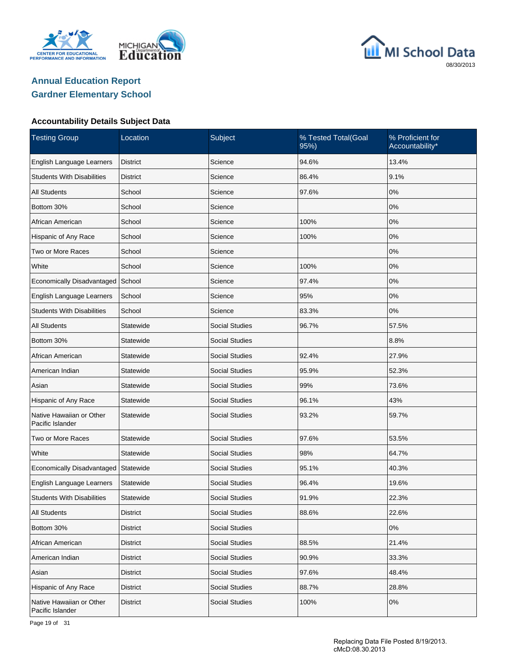





| <b>Testing Group</b>                         | Location        | Subject               | % Tested Total(Goal<br>95%) | % Proficient for<br>Accountability* |  |
|----------------------------------------------|-----------------|-----------------------|-----------------------------|-------------------------------------|--|
| English Language Learners                    | <b>District</b> | Science               | 94.6%                       | 13.4%                               |  |
| <b>Students With Disabilities</b>            | <b>District</b> | Science               | 86.4%                       | 9.1%                                |  |
| <b>All Students</b>                          | School          | Science               | 97.6%                       | 0%                                  |  |
| Bottom 30%                                   | School          | Science               |                             | 0%                                  |  |
| African American                             | School          | Science               | 100%                        | 0%                                  |  |
| Hispanic of Any Race                         | School          | Science               | 100%                        | 0%                                  |  |
| Two or More Races                            | School          | Science               |                             | 0%                                  |  |
| White                                        | School          | Science               | 100%                        | 0%                                  |  |
| Economically Disadvantaged                   | School          | Science               | 97.4%                       | 0%                                  |  |
| English Language Learners                    | School          | Science               | 95%                         | 0%                                  |  |
| <b>Students With Disabilities</b>            | School          | Science               | 83.3%                       | 0%                                  |  |
| <b>All Students</b>                          | Statewide       | <b>Social Studies</b> | 96.7%                       | 57.5%                               |  |
| Bottom 30%                                   | Statewide       | <b>Social Studies</b> |                             | 8.8%                                |  |
| African American                             | Statewide       | <b>Social Studies</b> | 92.4%                       | 27.9%                               |  |
| American Indian                              | Statewide       | <b>Social Studies</b> | 95.9%                       | 52.3%                               |  |
| Asian                                        | Statewide       | <b>Social Studies</b> | 99%                         | 73.6%                               |  |
| Hispanic of Any Race                         | Statewide       | <b>Social Studies</b> | 96.1%                       | 43%                                 |  |
| Native Hawaiian or Other<br>Pacific Islander | Statewide       | <b>Social Studies</b> | 93.2%                       | 59.7%                               |  |
| Two or More Races                            | Statewide       | <b>Social Studies</b> | 97.6%                       | 53.5%                               |  |
| White                                        | Statewide       | <b>Social Studies</b> | 98%                         | 64.7%                               |  |
| Economically Disadvantaged                   | Statewide       | <b>Social Studies</b> | 95.1%                       | 40.3%                               |  |
| English Language Learners                    | Statewide       | <b>Social Studies</b> | 96.4%                       | 19.6%                               |  |
| <b>Students With Disabilities</b>            | Statewide       | <b>Social Studies</b> | 91.9%                       | 22.3%                               |  |
| All Students                                 | <b>District</b> | <b>Social Studies</b> | 88.6%                       | 22.6%                               |  |
| Bottom 30%                                   | <b>District</b> | <b>Social Studies</b> |                             | 0%                                  |  |
| African American                             | <b>District</b> | Social Studies        | 88.5%                       | 21.4%                               |  |
| American Indian                              | <b>District</b> | <b>Social Studies</b> | 90.9%                       | 33.3%                               |  |
| Asian                                        | <b>District</b> | Social Studies        | 97.6%                       | 48.4%                               |  |
| Hispanic of Any Race                         | <b>District</b> | <b>Social Studies</b> | 88.7%                       | 28.8%                               |  |
| Native Hawaiian or Other<br>Pacific Islander | <b>District</b> | <b>Social Studies</b> | 100%                        | 0%                                  |  |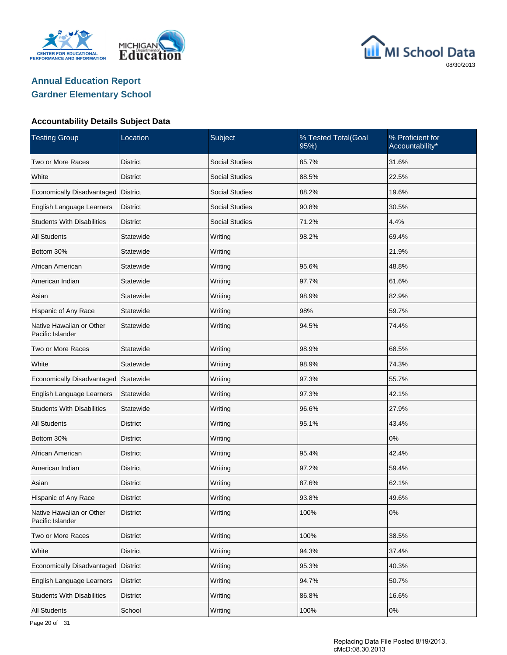





| <b>Testing Group</b>                         | Location        | Subject               | % Tested Total(Goal<br>95%) | % Proficient for<br>Accountability* |
|----------------------------------------------|-----------------|-----------------------|-----------------------------|-------------------------------------|
| Two or More Races                            | <b>District</b> | <b>Social Studies</b> | 85.7%                       | 31.6%                               |
| White                                        | <b>District</b> | <b>Social Studies</b> | 88.5%                       | 22.5%                               |
| Economically Disadvantaged                   | <b>District</b> | <b>Social Studies</b> | 88.2%                       | 19.6%                               |
| English Language Learners                    | <b>District</b> | <b>Social Studies</b> | 90.8%                       | 30.5%                               |
| <b>Students With Disabilities</b>            | <b>District</b> | <b>Social Studies</b> | 71.2%                       | 4.4%                                |
| <b>All Students</b>                          | Statewide       | Writing               | 98.2%                       | 69.4%                               |
| Bottom 30%                                   | Statewide       | Writing               |                             | 21.9%                               |
| African American                             | Statewide       | Writing               | 95.6%                       | 48.8%                               |
| American Indian                              | Statewide       | Writing               | 97.7%                       | 61.6%                               |
| Asian                                        | Statewide       | Writing               | 98.9%                       | 82.9%                               |
| Hispanic of Any Race                         | Statewide       | Writing               | 98%                         | 59.7%                               |
| Native Hawaiian or Other<br>Pacific Islander | Statewide       | Writing               | 94.5%                       | 74.4%                               |
| Two or More Races                            | Statewide       | Writing               | 98.9%                       | 68.5%                               |
| White                                        | Statewide       | Writing               | 98.9%                       | 74.3%                               |
| Economically Disadvantaged                   | Statewide       | Writing               | 97.3%                       | 55.7%                               |
| English Language Learners                    | Statewide       | Writing               | 97.3%                       | 42.1%                               |
| <b>Students With Disabilities</b>            | Statewide       | Writing               | 96.6%                       | 27.9%                               |
| <b>All Students</b>                          | District        | Writing               | 95.1%                       | 43.4%                               |
| Bottom 30%                                   | District        | Writing               |                             | 0%                                  |
| African American                             | District        | Writing               | 95.4%                       | 42.4%                               |
| American Indian                              | District        | Writing               | 97.2%                       | 59.4%                               |
| Asian                                        | District        | Writing               | 87.6%                       | 62.1%                               |
| Hispanic of Any Race                         | District        | Writing               | 93.8%                       | 49.6%                               |
| Native Hawaiian or Other<br>Pacific Islander | <b>District</b> | Writing               | 100%                        | 0%                                  |
| Two or More Races                            | <b>District</b> | Writing               | 100%                        | 38.5%                               |
| White                                        | District        | Writing               | 94.3%                       | 37.4%                               |
| Economically Disadvantaged                   | <b>District</b> | Writing               | 95.3%                       | 40.3%                               |
| English Language Learners                    | District        | Writing               | 94.7%                       | 50.7%                               |
| <b>Students With Disabilities</b>            | District        | Writing               | 86.8%                       | 16.6%                               |
| All Students                                 | School          | Writing               | 100%                        | 0%                                  |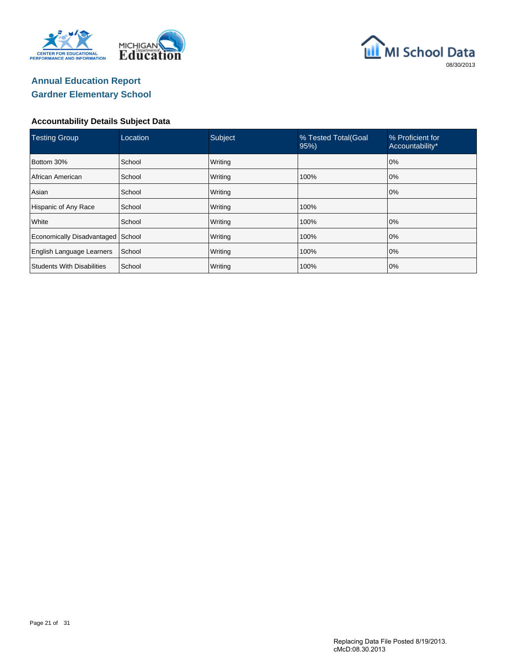





| <b>Testing Group</b>              | Location | Subject | % Tested Total(Goal<br>95% | % Proficient for<br>Accountability* |
|-----------------------------------|----------|---------|----------------------------|-------------------------------------|
| Bottom 30%                        | School   | Writing |                            | 0%                                  |
| African American                  | School   | Writing | 100%                       | 0%                                  |
| Asian                             | School   | Writing |                            | 0%                                  |
| Hispanic of Any Race              | School   | Writing | 100%                       |                                     |
| White                             | School   | Writing | 100%                       | 0%                                  |
| Economically Disadvantaged        | School   | Writing | 100%                       | 0%                                  |
| English Language Learners         | School   | Writing | 100%                       | 0%                                  |
| <b>Students With Disabilities</b> | School   | Writing | 100%                       | 0%                                  |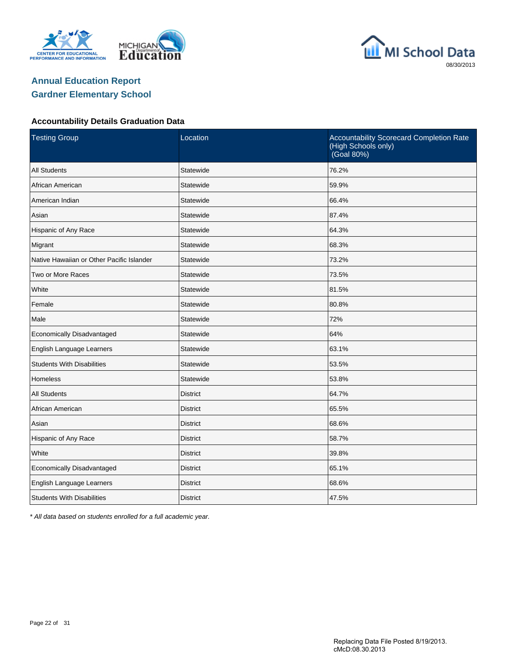





#### **Accountability Details Graduation Data**

| <b>Testing Group</b>                      | Location        | Accountability Scorecard Completion Rate<br>(High Schools only)<br>(Goal 80%) |
|-------------------------------------------|-----------------|-------------------------------------------------------------------------------|
| <b>All Students</b>                       | Statewide       | 76.2%                                                                         |
| African American                          | Statewide       | 59.9%                                                                         |
| American Indian                           | Statewide       | 66.4%                                                                         |
| Asian                                     | Statewide       | 87.4%                                                                         |
| Hispanic of Any Race                      | Statewide       | 64.3%                                                                         |
| Migrant                                   | Statewide       | 68.3%                                                                         |
| Native Hawaiian or Other Pacific Islander | Statewide       | 73.2%                                                                         |
| Two or More Races                         | Statewide       | 73.5%                                                                         |
| White                                     | Statewide       | 81.5%                                                                         |
| Female                                    | Statewide       | 80.8%                                                                         |
| Male                                      | Statewide       | 72%                                                                           |
| Economically Disadvantaged                | Statewide       | 64%                                                                           |
| English Language Learners                 | Statewide       | 63.1%                                                                         |
| <b>Students With Disabilities</b>         | Statewide       | 53.5%                                                                         |
| <b>Homeless</b>                           | Statewide       | 53.8%                                                                         |
| <b>All Students</b>                       | <b>District</b> | 64.7%                                                                         |
| African American                          | <b>District</b> | 65.5%                                                                         |
| Asian                                     | <b>District</b> | 68.6%                                                                         |
| Hispanic of Any Race                      | <b>District</b> | 58.7%                                                                         |
| White                                     | <b>District</b> | 39.8%                                                                         |
| Economically Disadvantaged                | <b>District</b> | 65.1%                                                                         |
| English Language Learners                 | <b>District</b> | 68.6%                                                                         |
| <b>Students With Disabilities</b>         | <b>District</b> | 47.5%                                                                         |

\* All data based on students enrolled for a full academic year.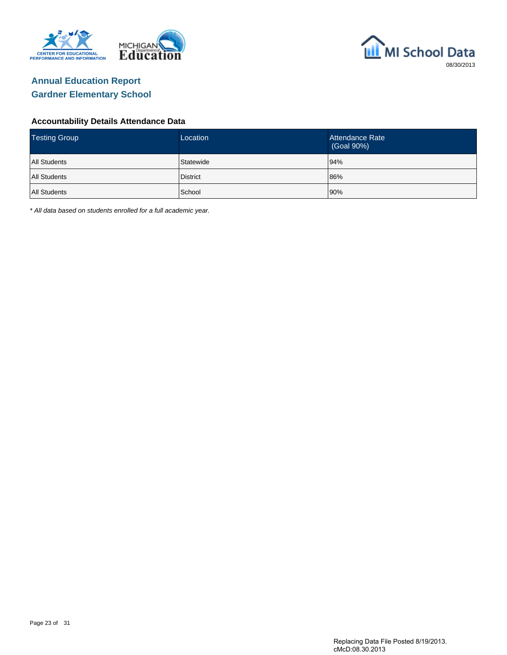



#### **Accountability Details Attendance Data**

| <b>Testing Group</b> | Location  | Attendance Rate<br>(Goal 90%) |
|----------------------|-----------|-------------------------------|
| <b>All Students</b>  | Statewide | 94%                           |
| <b>All Students</b>  | District  | 86%                           |
| <b>All Students</b>  | School    | 90%                           |

\* All data based on students enrolled for a full academic year.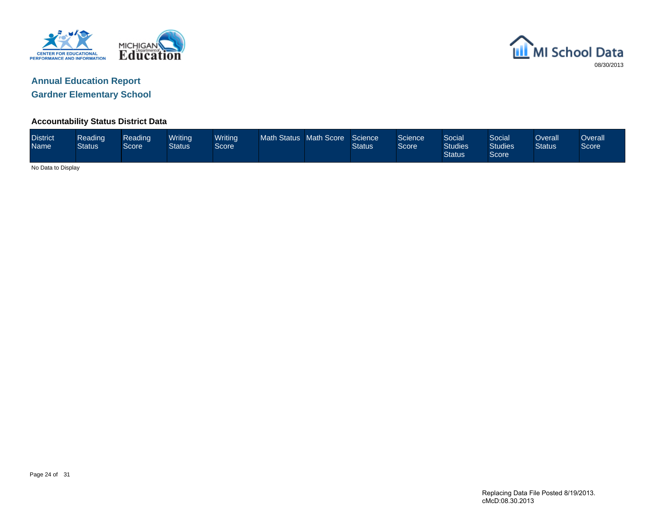



#### **Accountability Status District Data**

| <b>District</b><br>Name | Reading<br><b>Status</b> | Reading<br>Score | Writing<br><b>Status</b> | <b>Writing</b><br>Score | Math Status Math Score |  | Science<br><b>Status</b> | Science<br>Score | Social<br><b>Studies</b><br><b>Status</b> | Social<br><b>Studies</b><br>Score | Overall<br><b>Status</b> | Overallˈ<br>Score |
|-------------------------|--------------------------|------------------|--------------------------|-------------------------|------------------------|--|--------------------------|------------------|-------------------------------------------|-----------------------------------|--------------------------|-------------------|
|                         | No Data to Display       |                  |                          |                         |                        |  |                          |                  |                                           |                                   |                          |                   |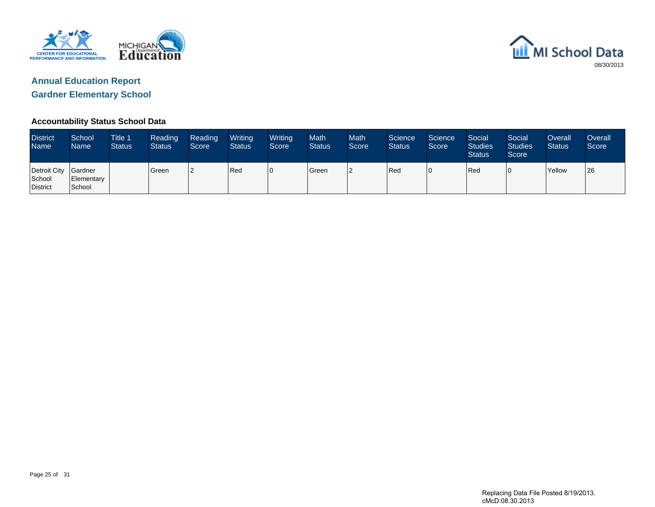



#### **Accountability Status School Data**

| <b>District</b><br><b>Name</b>             | School<br>Name       | <b>Title 1</b><br><b>Status</b> | Reading<br><b>Status</b> | Reading<br>Score | Writing<br><b>Status</b> | Writing<br>Score | <b>Math</b><br><b>Status</b> | <b>Math</b><br>Score | Science<br><b>Status</b> | Science<br>Score | Social<br><b>Studies</b><br><b>Status</b> | Social<br><b>Studies</b><br>Score | Overall<br><b>Status</b> | Overall<br>Score |
|--------------------------------------------|----------------------|---------------------------------|--------------------------|------------------|--------------------------|------------------|------------------------------|----------------------|--------------------------|------------------|-------------------------------------------|-----------------------------------|--------------------------|------------------|
| Detroit City Gardner<br>School<br>District | Elementary<br>School |                                 | l Green                  |                  | Red                      | 10               | <b>S</b> reen                | l2                   | Red                      | 10               | Red                                       | 10                                | <b>Yellow</b>            | 126              |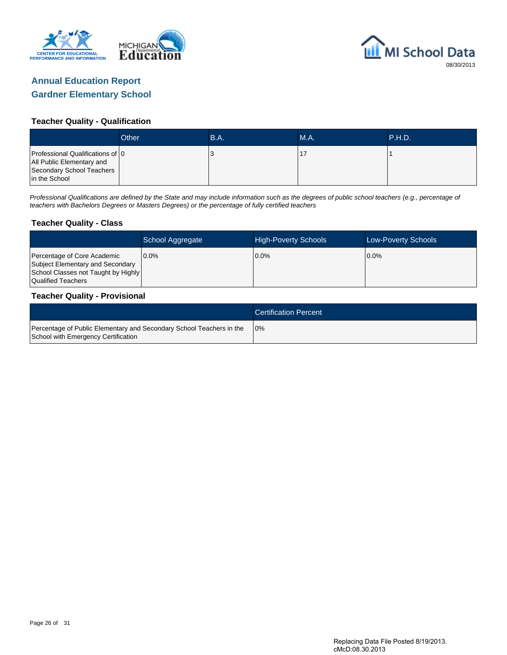



#### **Teacher Quality - Qualification**

|                                                                                                             | Other | B.A. | <b>M.A.</b> | <b>\P.H.D.</b> |
|-------------------------------------------------------------------------------------------------------------|-------|------|-------------|----------------|
| Professional Qualifications of 0<br>All Public Elementary and<br>Secondary School Teachers<br>in the School |       |      |             |                |

Professional Qualifications are defined by the State and may include information such as the degrees of public school teachers (e.g., percentage of teachers with Bachelors Degrees or Masters Degrees) or the percentage of fully certified teachers

#### **Teacher Quality - Class**

|                                                                                                                              | School Aggregate | <b>High-Poverty Schools</b> | <b>Low-Poverty Schools</b> |
|------------------------------------------------------------------------------------------------------------------------------|------------------|-----------------------------|----------------------------|
| Percentage of Core Academic<br>Subject Elementary and Secondary<br>School Classes not Taught by Highly<br>Qualified Teachers | $0.0\%$          | $0.0\%$                     | $0.0\%$                    |

#### **Teacher Quality - Provisional**

|                                                                                                             | <b>Certification Percent</b> |
|-------------------------------------------------------------------------------------------------------------|------------------------------|
| Percentage of Public Elementary and Secondary School Teachers in the<br>School with Emergency Certification | 10%                          |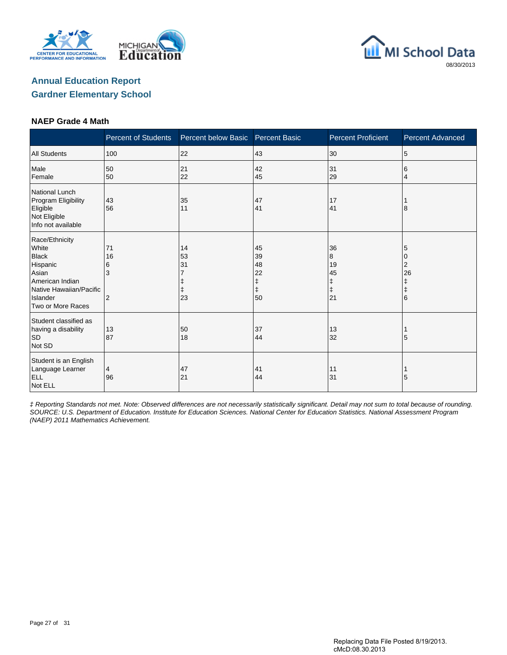





#### **NAEP Grade 4 Math**

|                                                                                                                                             | <b>Percent of Students</b> | Percent below Basic  | <b>Percent Basic</b>                          | <b>Percent Proficient</b>                    | <b>Percent Advanced</b>              |
|---------------------------------------------------------------------------------------------------------------------------------------------|----------------------------|----------------------|-----------------------------------------------|----------------------------------------------|--------------------------------------|
| <b>All Students</b>                                                                                                                         | 100                        | 22                   | 43                                            | 30                                           | 5                                    |
| Male<br>Female                                                                                                                              | 50<br>50                   | 21<br>22             | 42<br>45                                      | 31<br>29                                     | 6<br>4                               |
| <b>National Lunch</b><br>Program Eligibility<br>Eligible<br>Not Eligible<br>Info not available                                              | 43<br>56                   | 35<br>11             | 47<br>41                                      | 17<br>41                                     | 8                                    |
| Race/Ethnicity<br>White<br><b>Black</b><br>Hispanic<br>Asian<br>American Indian<br>Native Hawaiian/Pacific<br>Islander<br>Two or More Races | 71<br>16<br>6<br>3<br>2    | 14<br>53<br>31<br>23 | 45<br>39<br>48<br>22<br>ŧ<br>$\ddagger$<br>50 | 36<br>8<br>19<br>45<br>ŧ<br>$\ddagger$<br>21 | 5<br>2<br>26<br>ŧ<br>$\ddagger$<br>6 |
| Student classified as<br>having a disability<br><b>SD</b><br>Not SD                                                                         | 13<br>87                   | 50<br>18             | 37<br>44                                      | 13<br>32                                     | 5                                    |
| Student is an English<br>Language Learner<br><b>ELL</b><br>Not ELL                                                                          | 4<br>96                    | 47<br>21             | 41<br>44                                      | 11<br>31                                     | 5                                    |

‡ Reporting Standards not met. Note: Observed differences are not necessarily statistically significant. Detail may not sum to total because of rounding. SOURCE: U.S. Department of Education. Institute for Education Sciences. National Center for Education Statistics. National Assessment Program (NAEP) 2011 Mathematics Achievement.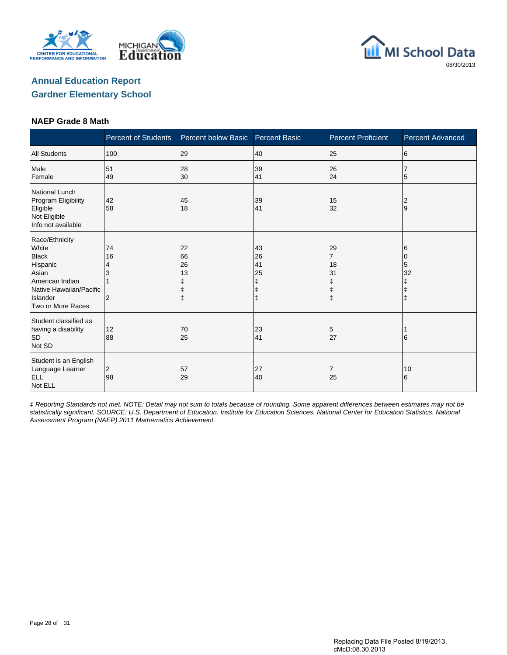





#### **NAEP Grade 8 Math**

|                                                                                                                                             | <b>Percent of Students</b> | Percent below Basic                | <b>Percent Basic</b>                | <b>Percent Proficient</b>                                | <b>Percent Advanced</b>         |
|---------------------------------------------------------------------------------------------------------------------------------------------|----------------------------|------------------------------------|-------------------------------------|----------------------------------------------------------|---------------------------------|
| <b>All Students</b>                                                                                                                         | 100                        | 29                                 | 40                                  | 25                                                       | 6                               |
| Male<br>Female                                                                                                                              | 51<br>49                   | 28<br>30                           | 39<br>41                            | 26<br>24                                                 | 5                               |
| <b>National Lunch</b><br>Program Eligibility<br>Eligible<br>Not Eligible<br>Info not available                                              | 42<br>58                   | 45<br>18                           | 39<br>41                            | 15<br>32                                                 | 2<br>9                          |
| Race/Ethnicity<br>White<br><b>Black</b><br>Hispanic<br>Asian<br>American Indian<br>Native Hawaiian/Pacific<br>Islander<br>Two or More Races | 74<br>16<br>4<br>2         | 22<br>66<br>26<br>13<br>$\ddagger$ | 43<br>26<br>41<br>25<br>ŧ<br>ŧ<br>ŧ | 29<br>$\overline{7}$<br>18<br>31<br>ŧ<br>ŧ<br>$\ddagger$ | 6<br>0<br>5<br>32<br>$\ddagger$ |
| Student classified as<br>having a disability<br><b>SD</b><br>Not SD                                                                         | 12<br>88                   | 70<br>25                           | 23<br>41                            | 5<br>27                                                  | 6                               |
| Student is an English<br>Language Learner<br><b>ELL</b><br>Not ELL                                                                          | $\overline{c}$<br>98       | 57<br>29                           | 27<br>40                            | 7<br>25                                                  | 10<br>6                         |

‡ Reporting Standards not met. NOTE: Detail may not sum to totals because of rounding. Some apparent differences between estimates may not be statistically significant. SOURCE: U.S. Department of Education. Institute for Education Sciences. National Center for Education Statistics. National Assessment Program (NAEP) 2011 Mathematics Achievement.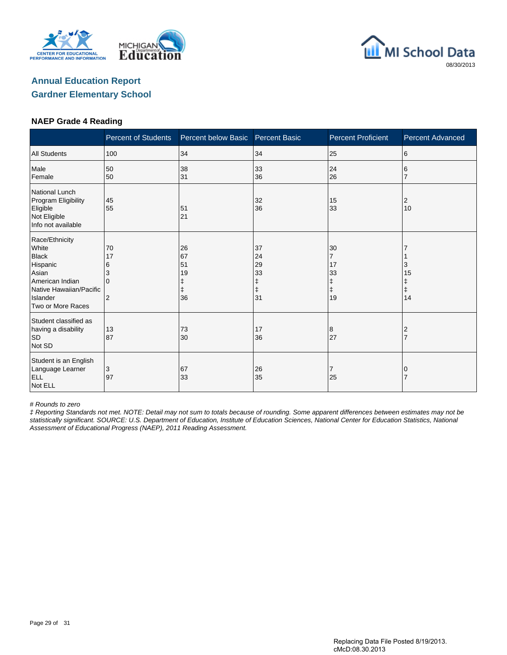





#### **NAEP Grade 4 Reading**

|                                                                                                                                             | <b>Percent of Students</b>          | Percent below Basic                           | <b>Percent Basic</b>                          | <b>Percent Proficient</b>                        | <b>Percent Advanced</b>          |
|---------------------------------------------------------------------------------------------------------------------------------------------|-------------------------------------|-----------------------------------------------|-----------------------------------------------|--------------------------------------------------|----------------------------------|
| <b>All Students</b>                                                                                                                         | 100                                 | 34                                            | 34                                            | 25                                               | 6                                |
| Male<br>Female                                                                                                                              | 50<br>50                            | 38<br>31                                      | 33<br>36                                      | 24<br>26                                         | 6                                |
| National Lunch<br>Program Eligibility<br>Eligible<br>Not Eligible<br>Info not available                                                     | 45<br>55                            | 51<br>21                                      | 32<br>36                                      | 15<br>33                                         | 2<br>10                          |
| Race/Ethnicity<br>White<br><b>Black</b><br>Hispanic<br>Asian<br>American Indian<br>Native Hawaiian/Pacific<br>Islander<br>Two or More Races | 70<br>17<br>6<br>3<br>$\Omega$<br>2 | 26<br>67<br>51<br>19<br>ŧ<br>$\ddagger$<br>36 | 37<br>24<br>29<br>33<br>ŧ<br>$\ddagger$<br>31 | 30<br>$\overline{7}$<br>17<br>33<br>ŧ<br>ŧ<br>19 | 3<br>15<br>ŧ<br>$\ddagger$<br>14 |
| Student classified as<br>having a disability<br><b>SD</b><br>Not SD                                                                         | 13<br>87                            | 73<br>30                                      | 17<br>36                                      | 8<br>27                                          | 2<br>$\overline{7}$              |
| Student is an English<br>Language Learner<br><b>ELL</b><br>Not ELL                                                                          | 3<br>97                             | 67<br>33                                      | 26<br>35                                      | 7<br>25                                          | 0                                |

# Rounds to zero

‡ Reporting Standards not met. NOTE: Detail may not sum to totals because of rounding. Some apparent differences between estimates may not be statistically significant. SOURCE: U.S. Department of Education, Institute of Education Sciences, National Center for Education Statistics, National Assessment of Educational Progress (NAEP), 2011 Reading Assessment.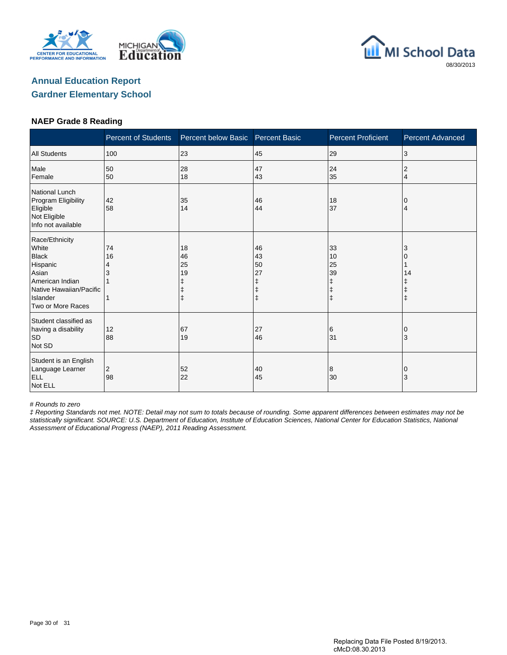





#### **NAEP Grade 8 Reading**

|                                                                                                                                             | <b>Percent of Students</b> | Percent below Basic                                   | <b>Percent Basic</b>      | <b>Percent Proficient</b>                             | <b>Percent Advanced</b> |
|---------------------------------------------------------------------------------------------------------------------------------------------|----------------------------|-------------------------------------------------------|---------------------------|-------------------------------------------------------|-------------------------|
| <b>All Students</b>                                                                                                                         | 100                        | 23                                                    | 45                        | 29                                                    | 3                       |
| Male<br>Female                                                                                                                              | 50<br>50                   | 28<br>18                                              | 47<br>43                  | 24<br>35                                              | 2<br>$\overline{4}$     |
| National Lunch<br>Program Eligibility<br>Eligible<br>Not Eligible<br>Info not available                                                     | 42<br>58                   | 35<br>14                                              | 46<br>44                  | 18<br>37                                              | 0<br>4                  |
| Race/Ethnicity<br>White<br><b>Black</b><br>Hispanic<br>Asian<br>American Indian<br>Native Hawaiian/Pacific<br>Islander<br>Two or More Races | 74<br>16<br>4<br>3         | 18<br>46<br>25<br>19<br>ŧ<br>$\ddagger$<br>$\ddagger$ | 46<br>43<br>50<br>27<br>ŧ | 33<br>10<br>25<br>39<br>ŧ<br>$\ddagger$<br>$\ddagger$ | 3<br>14                 |
| Student classified as<br>having a disability<br><b>SD</b><br>Not SD                                                                         | 12<br>88                   | 67<br>19                                              | 27<br>46                  | 6<br>31                                               | ΙO<br>3                 |
| Student is an English<br>Language Learner<br><b>ELL</b><br>Not ELL                                                                          | 2<br>98                    | 52<br>22                                              | 40<br>45                  | 8<br>30                                               | 0<br>3                  |

# Rounds to zero

‡ Reporting Standards not met. NOTE: Detail may not sum to totals because of rounding. Some apparent differences between estimates may not be statistically significant. SOURCE: U.S. Department of Education, Institute of Education Sciences, National Center for Education Statistics, National Assessment of Educational Progress (NAEP), 2011 Reading Assessment.